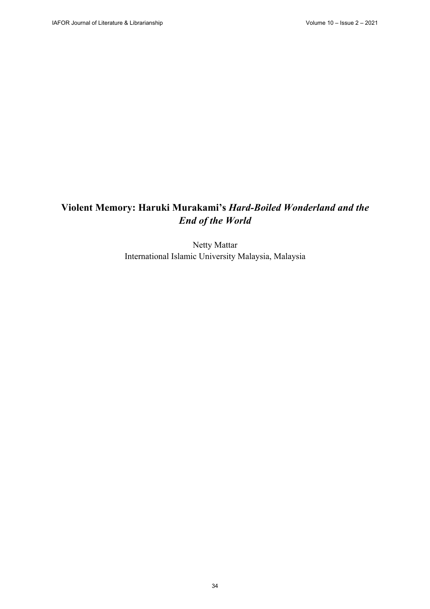# **Violent Memory: Haruki Murakami's** *Hard-Boiled Wonderland and the End of the World*

Netty Mattar International Islamic University Malaysia, Malaysia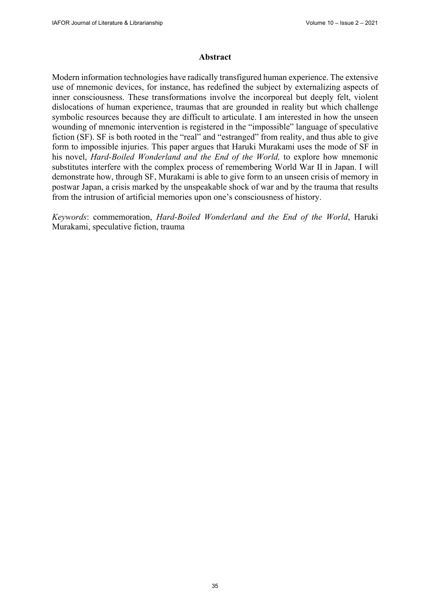#### **Abstract**

Modern information technologies have radically transfigured human experience. The extensive use of mnemonic devices, for instance, has redefined the subject by externalizing aspects of inner consciousness. These transformations involve the incorporeal but deeply felt, violent dislocations of human experience, traumas that are grounded in reality but which challenge symbolic resources because they are difficult to articulate. I am interested in how the unseen wounding of mnemonic intervention is registered in the "impossible" language of speculative fiction (SF). SF is both rooted in the "real" and "estranged" from reality, and thus able to give form to impossible injuries. This paper argues that Haruki Murakami uses the mode of SF in his novel, *Hard-Boiled Wonderland and the End of the World,* to explore how mnemonic substitutes interfere with the complex process of remembering World War II in Japan. I will demonstrate how, through SF, Murakami is able to give form to an unseen crisis of memory in postwar Japan, a crisis marked by the unspeakable shock of war and by the trauma that results from the intrusion of artificial memories upon one's consciousness of history.

*Keywords*: commemoration, *Hard-Boiled Wonderland and the End of the World*, Haruki Murakami, speculative fiction, trauma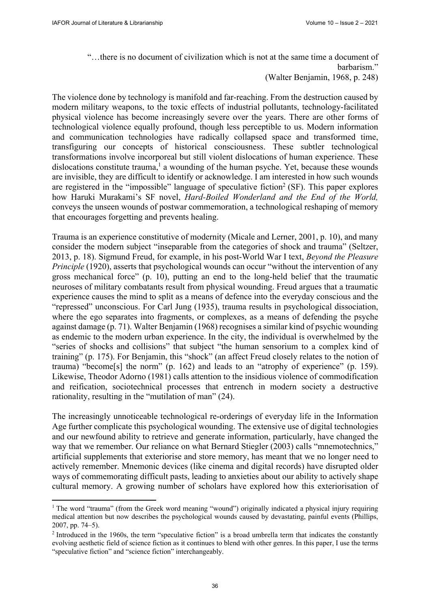"…there is no document of civilization which is not at the same time a document of barbarism."

(Walter Benjamin, 1968, p. 248)

The violence done by technology is manifold and far-reaching. From the destruction caused by modern military weapons, to the toxic effects of industrial pollutants, technology-facilitated physical violence has become increasingly severe over the years. There are other forms of technological violence equally profound, though less perceptible to us. Modern information and communication technologies have radically collapsed space and transformed time, transfiguring our concepts of historical consciousness. These subtler technological transformations involve incorporeal but still violent dislocations of human experience. These dislocations constitute trauma,<sup>1</sup> a wounding of the human psyche. Yet, because these wounds are invisible, they are difficult to identify or acknowledge. I am interested in how such wounds are registered in the "impossible" language of speculative fiction<sup>2</sup> (SF). This paper explores how Haruki Murakami's SF novel, *Hard-Boiled Wonderland and the End of the World,* conveys the unseen wounds of postwar commemoration, a technological reshaping of memory that encourages forgetting and prevents healing.

Trauma is an experience constitutive of modernity (Micale and Lerner, 2001, p. 10), and many consider the modern subject "inseparable from the categories of shock and trauma" (Seltzer, 2013, p. 18). Sigmund Freud, for example, in his post-World War I text, *Beyond the Pleasure Principle* (1920), asserts that psychological wounds can occur "without the intervention of any gross mechanical force" (p. 10), putting an end to the long-held belief that the traumatic neuroses of military combatants result from physical wounding. Freud argues that a traumatic experience causes the mind to split as a means of defence into the everyday conscious and the "repressed" unconscious. For Carl Jung (1935), trauma results in psychological dissociation, where the ego separates into fragments, or complexes, as a means of defending the psyche against damage (p. 71). Walter Benjamin (1968) recognises a similar kind of psychic wounding as endemic to the modern urban experience. In the city, the individual is overwhelmed by the "series of shocks and collisions" that subject "the human sensorium to a complex kind of training" (p. 175). For Benjamin, this "shock" (an affect Freud closely relates to the notion of trauma) "become[s] the norm" (p. 162) and leads to an "atrophy of experience" (p. 159). Likewise, Theodor Adorno (1981) calls attention to the insidious violence of commodification and reification, sociotechnical processes that entrench in modern society a destructive rationality, resulting in the "mutilation of man" (24).

The increasingly unnoticeable technological re-orderings of everyday life in the Information Age further complicate this psychological wounding. The extensive use of digital technologies and our newfound ability to retrieve and generate information, particularly, have changed the way that we remember. Our reliance on what Bernard Stiegler (2003) calls "mnemotechnics," artificial supplements that exteriorise and store memory, has meant that we no longer need to actively remember. Mnemonic devices (like cinema and digital records) have disrupted older ways of commemorating difficult pasts, leading to anxieties about our ability to actively shape cultural memory. A growing number of scholars have explored how this exteriorisation of

<sup>&</sup>lt;sup>1</sup> The word "trauma" (from the Greek word meaning "wound") originally indicated a physical injury requiring medical attention but now describes the psychological wounds caused by devastating, painful events (Phillips, 2007, pp. 74–5).

<sup>&</sup>lt;sup>2</sup> Introduced in the 1960s, the term "speculative fiction" is a broad umbrella term that indicates the constantly evolving aesthetic field of science fiction as it continues to blend with other genres. In this paper, I use the terms "speculative fiction" and "science fiction" interchangeably.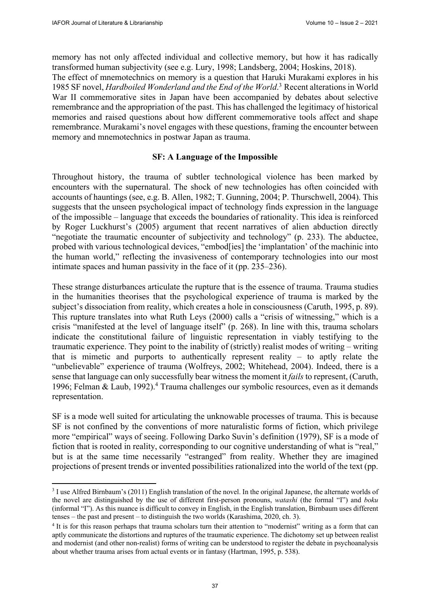memory has not only affected individual and collective memory, but how it has radically transformed human subjectivity (see e.g. Lury, 1998; Landsberg, 2004; Hoskins, 2018).

The effect of mnemotechnics on memory is a question that Haruki Murakami explores in his 1985 SF novel, *Hardboiled Wonderland and the End of the World*. 3 Recent alterations in World War II commemorative sites in Japan have been accompanied by debates about selective remembrance and the appropriation of the past. This has challenged the legitimacy of historical memories and raised questions about how different commemorative tools affect and shape remembrance. Murakami's novel engages with these questions, framing the encounter between memory and mnemotechnics in postwar Japan as trauma.

# **SF: A Language of the Impossible**

Throughout history, the trauma of subtler technological violence has been marked by encounters with the supernatural. The shock of new technologies has often coincided with accounts of hauntings (see, e.g. B. Allen, 1982; T. Gunning, 2004; P. Thurschwell, 2004). This suggests that the unseen psychological impact of technology finds expression in the language of the impossible – language that exceeds the boundaries of rationality. This idea is reinforced by Roger Luckhurst's (2005) argument that recent narratives of alien abduction directly "negotiate the traumatic encounter of subjectivity and technology" (p. 233). The abductee, probed with various technological devices, "embod[ies] the 'implantation' of the machinic into the human world," reflecting the invasiveness of contemporary technologies into our most intimate spaces and human passivity in the face of it (pp. 235–236).

These strange disturbances articulate the rupture that is the essence of trauma. Trauma studies in the humanities theorises that the psychological experience of trauma is marked by the subject's dissociation from reality, which creates a hole in consciousness (Caruth, 1995, p. 89). This rupture translates into what Ruth Leys (2000) calls a "crisis of witnessing," which is a crisis "manifested at the level of language itself" (p. 268). In line with this, trauma scholars indicate the constitutional failure of linguistic representation in viably testifying to the traumatic experience. They point to the inability of (strictly) realist modes of writing – writing that is mimetic and purports to authentically represent reality  $-$  to aptly relate the "unbelievable" experience of trauma (Wolfreys, 2002; Whitehead, 2004). Indeed, there is a sense that language can only successfully bear witness the moment it *fails* to represent, (Caruth, 1996; Felman & Laub, 1992).4 Trauma challenges our symbolic resources, even as it demands representation.

SF is a mode well suited for articulating the unknowable processes of trauma. This is because SF is not confined by the conventions of more naturalistic forms of fiction, which privilege more "empirical" ways of seeing. Following Darko Suvin's definition (1979), SF is a mode of fiction that is rooted in reality, corresponding to our cognitive understanding of what is "real," but is at the same time necessarily "estranged" from reality. Whether they are imagined projections of present trends or invented possibilities rationalized into the world of the text (pp.

<sup>&</sup>lt;sup>3</sup> I use Alfred Birnbaum's (2011) English translation of the novel. In the original Japanese, the alternate worlds of the novel are distinguished by the use of different first-person pronouns, *watashi* (the formal "I") and *boku* (informal "I"). As this nuance is difficult to convey in English, in the English translation, Birnbaum uses different tenses – the past and present – to distinguish the two worlds (Karashima, 2020, ch. 3).<br><sup>4</sup> It is for this reason perhaps that trauma scholars turn their attention to "modernist" writing as a form that can

aptly communicate the distortions and ruptures of the traumatic experience. The dichotomy set up between realist and modernist (and other non-realist) forms of writing can be understood to register the debate in psychoanalysis about whether trauma arises from actual events or in fantasy (Hartman, 1995, p. 538).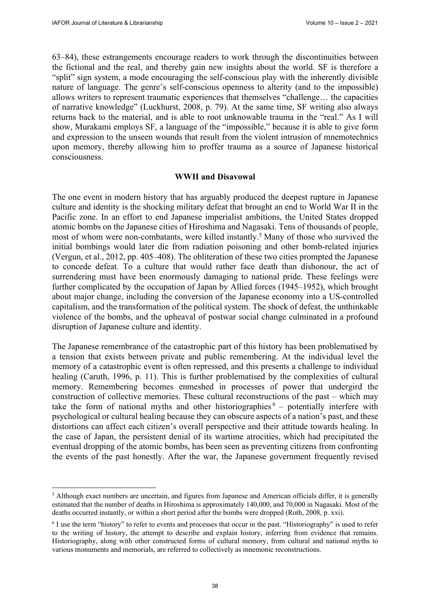63–84), these estrangements encourage readers to work through the discontinuities between the fictional and the real, and thereby gain new insights about the world. SF is therefore a "split" sign system, a mode encouraging the self-conscious play with the inherently divisible nature of language. The genre's self-conscious openness to alterity (and to the impossible) allows writers to represent traumatic experiences that themselves "challenge… the capacities of narrative knowledge" (Luckhurst, 2008, p. 79). At the same time, SF writing also always returns back to the material, and is able to root unknowable trauma in the "real." As I will show, Murakami employs SF, a language of the "impossible," because it is able to give form and expression to the unseen wounds that result from the violent intrusion of mnemotechnics upon memory, thereby allowing him to proffer trauma as a source of Japanese historical consciousness.

### **WWII and Disavowal**

The one event in modern history that has arguably produced the deepest rupture in Japanese culture and identity is the shocking military defeat that brought an end to World War II in the Pacific zone. In an effort to end Japanese imperialist ambitions, the United States dropped atomic bombs on the Japanese cities of Hiroshima and Nagasaki. Tens of thousands of people, most of whom were non-combatants, were killed instantly.5 Many of those who survived the initial bombings would later die from radiation poisoning and other bomb-related injuries (Vergun, et al., 2012, pp. 405–408). The obliteration of these two cities prompted the Japanese to concede defeat. To a culture that would rather face death than dishonour, the act of surrendering must have been enormously damaging to national pride. These feelings were further complicated by the occupation of Japan by Allied forces (1945–1952), which brought about major change, including the conversion of the Japanese economy into a US-controlled capitalism, and the transformation of the political system. The shock of defeat, the unthinkable violence of the bombs, and the upheaval of postwar social change culminated in a profound disruption of Japanese culture and identity.

The Japanese remembrance of the catastrophic part of this history has been problematised by a tension that exists between private and public remembering. At the individual level the memory of a catastrophic event is often repressed, and this presents a challenge to individual healing (Caruth, 1996, p. 11). This is further problematised by the complexities of cultural memory. Remembering becomes enmeshed in processes of power that undergird the construction of collective memories. These cultural reconstructions of the past – which may take the form of national myths and other historiographies  $6 -$  potentially interfere with psychological or cultural healing because they can obscure aspects of a nation's past, and these distortions can affect each citizen's overall perspective and their attitude towards healing. In the case of Japan, the persistent denial of its wartime atrocities, which had precipitated the eventual dropping of the atomic bombs, has been seen as preventing citizens from confronting the events of the past honestly. After the war, the Japanese government frequently revised

<sup>&</sup>lt;sup>5</sup> Although exact numbers are uncertain, and figures from Japanese and American officials differ, it is generally estimated that the number of deaths in Hiroshima is approximately 140,000, and 70,000 in Nagasaki. Most of the deaths occurred instantly, or within a short period after the bombs were dropped (Roth, 2008, p. xxi).

<sup>6</sup> I use the term "history" to refer to events and processes that occur in the past. "Historiography" is used to refer to the writing of history, the attempt to describe and explain history, inferring from evidence that remains. Historiography, along with other constructed forms of cultural memory, from cultural and national myths to various monuments and memorials, are referred to collectively as mnemonic reconstructions.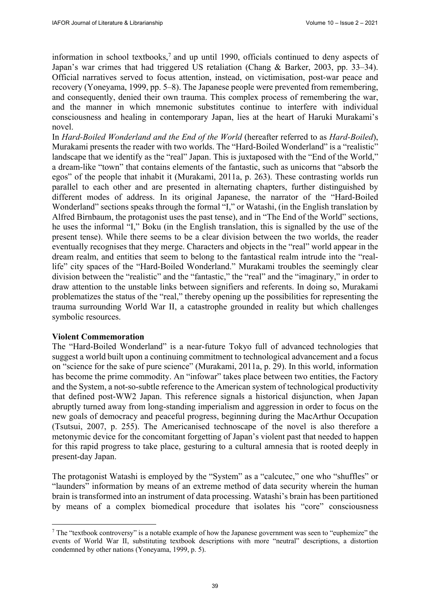information in school textbooks,<sup>7</sup> and up until 1990, officials continued to deny aspects of Japan's war crimes that had triggered US retaliation (Chang & Barker, 2003, pp. 33–34). Official narratives served to focus attention, instead, on victimisation, post-war peace and recovery (Yoneyama, 1999, pp. 5–8). The Japanese people were prevented from remembering, and consequently, denied their own trauma. This complex process of remembering the war, and the manner in which mnemonic substitutes continue to interfere with individual consciousness and healing in contemporary Japan, lies at the heart of Haruki Murakami's novel.

In *Hard-Boiled Wonderland and the End of the World* (hereafter referred to as *Hard-Boiled*), Murakami presents the reader with two worlds. The "Hard-Boiled Wonderland" is a "realistic" landscape that we identify as the "real" Japan. This is juxtaposed with the "End of the World," a dream-like "town" that contains elements of the fantastic, such as unicorns that "absorb the egos" of the people that inhabit it (Murakami, 2011a, p. 263). These contrasting worlds run parallel to each other and are presented in alternating chapters, further distinguished by different modes of address. In its original Japanese, the narrator of the "Hard-Boiled Wonderland" sections speaks through the formal "I," or Watashi, (in the English translation by Alfred Birnbaum, the protagonist uses the past tense), and in "The End of the World" sections, he uses the informal "I," Boku (in the English translation, this is signalled by the use of the present tense). While there seems to be a clear division between the two worlds, the reader eventually recognises that they merge. Characters and objects in the "real" world appear in the dream realm, and entities that seem to belong to the fantastical realm intrude into the "reallife" city spaces of the "Hard-Boiled Wonderland." Murakami troubles the seemingly clear division between the "realistic" and the "fantastic," the "real" and the "imaginary," in order to draw attention to the unstable links between signifiers and referents. In doing so, Murakami problematizes the status of the "real," thereby opening up the possibilities for representing the trauma surrounding World War II, a catastrophe grounded in reality but which challenges symbolic resources.

### **Violent Commemoration**

The "Hard-Boiled Wonderland" is a near-future Tokyo full of advanced technologies that suggest a world built upon a continuing commitment to technological advancement and a focus on "science for the sake of pure science" (Murakami, 2011a, p. 29). In this world, information has become the prime commodity. An "infowar" takes place between two entities, the Factory and the System, a not-so-subtle reference to the American system of technological productivity that defined post-WW2 Japan. This reference signals a historical disjunction, when Japan abruptly turned away from long-standing imperialism and aggression in order to focus on the new goals of democracy and peaceful progress, beginning during the MacArthur Occupation (Tsutsui, 2007, p. 255). The Americanised technoscape of the novel is also therefore a metonymic device for the concomitant forgetting of Japan's violent past that needed to happen for this rapid progress to take place, gesturing to a cultural amnesia that is rooted deeply in present-day Japan.

The protagonist Watashi is employed by the "System" as a "calcutec," one who "shuffles" or "launders" information by means of an extreme method of data security wherein the human brain is transformed into an instrument of data processing. Watashi's brain has been partitioned by means of a complex biomedical procedure that isolates his "core" consciousness

 $\frac{7}{1}$  The "textbook controversy" is a notable example of how the Japanese government was seen to "euphemize" the events of World War II, substituting textbook descriptions with more "neutral" descriptions, a distortion condemned by other nations (Yoneyama, 1999, p. 5).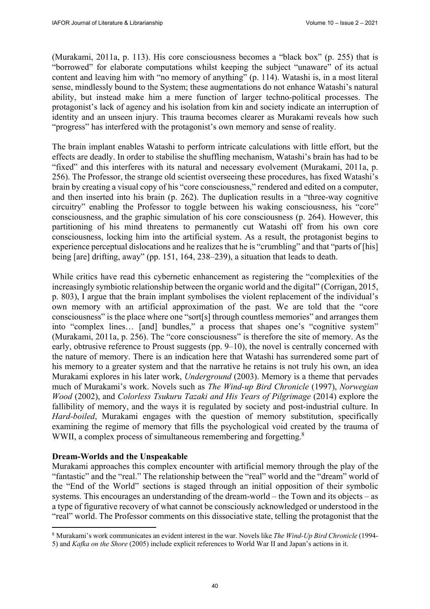(Murakami, 2011a, p. 113). His core consciousness becomes a "black box" (p. 255) that is "borrowed" for elaborate computations whilst keeping the subject "unaware" of its actual content and leaving him with "no memory of anything" (p. 114). Watashi is, in a most literal sense, mindlessly bound to the System; these augmentations do not enhance Watashi's natural ability, but instead make him a mere function of larger techno-political processes. The protagonist's lack of agency and his isolation from kin and society indicate an interruption of identity and an unseen injury. This trauma becomes clearer as Murakami reveals how such "progress" has interfered with the protagonist's own memory and sense of reality.

The brain implant enables Watashi to perform intricate calculations with little effort, but the effects are deadly. In order to stabilise the shuffling mechanism, Watashi's brain has had to be "fixed" and this interferes with its natural and necessary evolvement (Murakami, 2011a, p. 256). The Professor, the strange old scientist overseeing these procedures, has fixed Watashi's brain by creating a visual copy of his "core consciousness," rendered and edited on a computer, and then inserted into his brain (p. 262). The duplication results in a "three-way cognitive circuitry" enabling the Professor to toggle between his waking consciousness, his "core" consciousness, and the graphic simulation of his core consciousness (p. 264). However, this partitioning of his mind threatens to permanently cut Watashi off from his own core consciousness, locking him into the artificial system. As a result, the protagonist begins to experience perceptual dislocations and he realizes that he is "crumbling" and that "parts of [his] being [are] drifting, away" (pp. 151, 164, 238–239), a situation that leads to death.

While critics have read this cybernetic enhancement as registering the "complexities of the increasingly symbiotic relationship between the organic world and the digital" (Corrigan, 2015, p. 803), I argue that the brain implant symbolises the violent replacement of the individual's own memory with an artificial approximation of the past. We are told that the "core consciousness" is the place where one "sort[s] through countless memories" and arranges them into "complex lines… [and] bundles," a process that shapes one's "cognitive system" (Murakami, 2011a, p. 256). The "core consciousness" is therefore the site of memory. As the early, obtrusive reference to Proust suggests (pp. 9–10), the novel is centrally concerned with the nature of memory. There is an indication here that Watashi has surrendered some part of his memory to a greater system and that the narrative he retains is not truly his own, an idea Murakami explores in his later work, *Underground* (2003). Memory is a theme that pervades much of Murakami's work. Novels such as *The Wind-up Bird Chronicle* (1997), *Norwegian Wood* (2002), and *Colorless Tsukuru Tazaki and His Years of Pilgrimage* (2014) explore the fallibility of memory, and the ways it is regulated by society and post-industrial culture. In *Hard-boiled*, Murakami engages with the question of memory substitution, specifically examining the regime of memory that fills the psychological void created by the trauma of WWII, a complex process of simultaneous remembering and forgetting.<sup>8</sup>

# **Dream-Worlds and the Unspeakable**

Murakami approaches this complex encounter with artificial memory through the play of the "fantastic" and the "real." The relationship between the "real" world and the "dream" world of the "End of the World" sections is staged through an initial opposition of their symbolic systems. This encourages an understanding of the dream-world – the Town and its objects – as a type of figurative recovery of what cannot be consciously acknowledged or understood in the "real" world. The Professor comments on this dissociative state, telling the protagonist that the

<sup>8</sup> Murakami's work communicates an evident interest in the war. Novels like *The Wind-Up Bird Chronicle* (1994- 5) and *Kafka on the Shore* (2005) include explicit references to World War II and Japan's actions in it.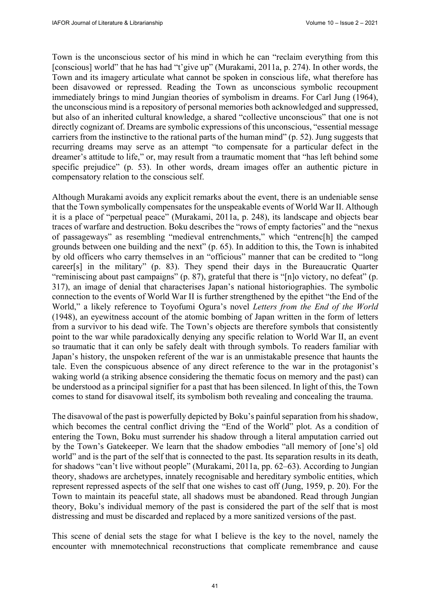Town is the unconscious sector of his mind in which he can "reclaim everything from this [conscious] world" that he has had "t'give up" (Murakami, 2011a, p. 274). In other words, the Town and its imagery articulate what cannot be spoken in conscious life, what therefore has been disavowed or repressed. Reading the Town as unconscious symbolic recoupment immediately brings to mind Jungian theories of symbolism in dreams. For Carl Jung (1964), the unconscious mind is a repository of personal memories both acknowledged and suppressed, but also of an inherited cultural knowledge, a shared "collective unconscious" that one is not directly cognizant of. Dreams are symbolic expressions of this unconscious, "essential message carriers from the instinctive to the rational parts of the human mind" (p. 52). Jung suggests that recurring dreams may serve as an attempt "to compensate for a particular defect in the dreamer's attitude to life," or, may result from a traumatic moment that "has left behind some specific prejudice" (p. 53). In other words, dream images offer an authentic picture in compensatory relation to the conscious self.

Although Murakami avoids any explicit remarks about the event, there is an undeniable sense that the Town symbolically compensates for the unspeakable events of World War II. Although it is a place of "perpetual peace" (Murakami, 2011a, p. 248), its landscape and objects bear traces of warfare and destruction. Boku describes the "rows of empty factories" and the "nexus of passageways" as resembling "medieval entrenchments," which "entrenc[h] the camped grounds between one building and the next" (p. 65). In addition to this, the Town is inhabited by old officers who carry themselves in an "officious" manner that can be credited to "long career[s] in the military" (p. 83). They spend their days in the Bureaucratic Quarter "reminiscing about past campaigns" (p. 87), grateful that there is "[n]o victory, no defeat" (p. 317), an image of denial that characterises Japan's national historiographies. The symbolic connection to the events of World War II is further strengthened by the epithet "the End of the World," a likely reference to Toyofumi Ogura's novel *Letters from the End of the World* (1948), an eyewitness account of the atomic bombing of Japan written in the form of letters from a survivor to his dead wife. The Town's objects are therefore symbols that consistently point to the war while paradoxically denying any specific relation to World War II, an event so traumatic that it can only be safely dealt with through symbols. To readers familiar with Japan's history, the unspoken referent of the war is an unmistakable presence that haunts the tale. Even the conspicuous absence of any direct reference to the war in the protagonist's waking world (a striking absence considering the thematic focus on memory and the past) can be understood as a principal signifier for a past that has been silenced. In light of this, the Town comes to stand for disavowal itself, its symbolism both revealing and concealing the trauma.

The disavowal of the past is powerfully depicted by Boku's painful separation from his shadow, which becomes the central conflict driving the "End of the World" plot. As a condition of entering the Town, Boku must surrender his shadow through a literal amputation carried out by the Town's Gatekeeper. We learn that the shadow embodies "all memory of [one's] old world" and is the part of the self that is connected to the past. Its separation results in its death, for shadows "can't live without people" (Murakami, 2011a, pp. 62–63). According to Jungian theory, shadows are archetypes, innately recognisable and hereditary symbolic entities, which represent repressed aspects of the self that one wishes to cast off (Jung, 1959, p. 20). For the Town to maintain its peaceful state, all shadows must be abandoned. Read through Jungian theory, Boku's individual memory of the past is considered the part of the self that is most distressing and must be discarded and replaced by a more sanitized versions of the past.

This scene of denial sets the stage for what I believe is the key to the novel, namely the encounter with mnemotechnical reconstructions that complicate remembrance and cause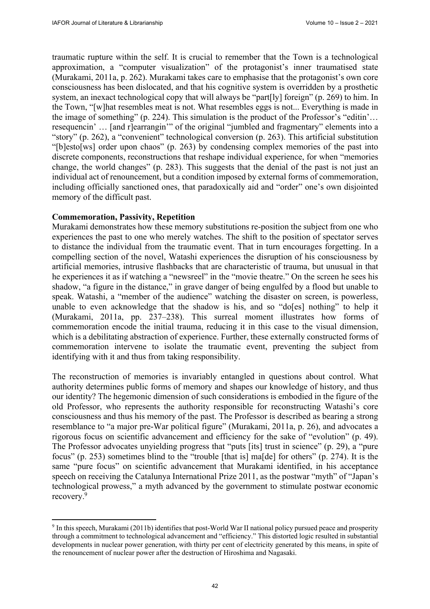traumatic rupture within the self. It is crucial to remember that the Town is a technological approximation, a "computer visualization" of the protagonist's inner traumatised state (Murakami, 2011a, p. 262). Murakami takes care to emphasise that the protagonist's own core consciousness has been dislocated, and that his cognitive system is overridden by a prosthetic system, an inexact technological copy that will always be "part[ly] foreign" (p. 269) to him. In the Town, "[w]hat resembles meat is not. What resembles eggs is not... Everything is made in the image of something" (p. 224). This simulation is the product of the Professor's "editin'… resequencin' … [and r]earrangin'" of the original "jumbled and fragmentary" elements into a "story" (p. 262), a "convenient" technological conversion (p. 263). This artificial substitution "[b]esto[ws] order upon chaos" (p. 263) by condensing complex memories of the past into discrete components, reconstructions that reshape individual experience, for when "memories change, the world changes" (p. 283). This suggests that the denial of the past is not just an individual act of renouncement, but a condition imposed by external forms of commemoration, including officially sanctioned ones, that paradoxically aid and "order" one's own disjointed memory of the difficult past.

## **Commemoration, Passivity, Repetition**

Murakami demonstrates how these memory substitutions re-position the subject from one who experiences the past to one who merely watches. The shift to the position of spectator serves to distance the individual from the traumatic event. That in turn encourages forgetting. In a compelling section of the novel, Watashi experiences the disruption of his consciousness by artificial memories, intrusive flashbacks that are characteristic of trauma, but unusual in that he experiences it as if watching a "newsreel" in the "movie theatre." On the screen he sees his shadow, "a figure in the distance," in grave danger of being engulfed by a flood but unable to speak. Watashi, a "member of the audience" watching the disaster on screen, is powerless, unable to even acknowledge that the shadow is his, and so "do[es] nothing" to help it (Murakami, 2011a, pp. 237–238). This surreal moment illustrates how forms of commemoration encode the initial trauma, reducing it in this case to the visual dimension, which is a debilitating abstraction of experience. Further, these externally constructed forms of commemoration intervene to isolate the traumatic event, preventing the subject from identifying with it and thus from taking responsibility.

The reconstruction of memories is invariably entangled in questions about control. What authority determines public forms of memory and shapes our knowledge of history, and thus our identity? The hegemonic dimension of such considerations is embodied in the figure of the old Professor, who represents the authority responsible for reconstructing Watashi's core consciousness and thus his memory of the past. The Professor is described as bearing a strong resemblance to "a major pre-War political figure" (Murakami, 2011a, p. 26), and advocates a rigorous focus on scientific advancement and efficiency for the sake of "evolution" (p. 49). The Professor advocates unyielding progress that "puts [its] trust in science" (p. 29), a "pure focus" (p. 253) sometimes blind to the "trouble [that is] ma[de] for others" (p. 274). It is the same "pure focus" on scientific advancement that Murakami identified, in his acceptance speech on receiving the Catalunya International Prize 2011, as the postwar "myth" of "Japan's technological prowess," a myth advanced by the government to stimulate postwar economic recovery.9

<sup>9</sup> In this speech, Murakami (2011b) identifies that post-World War II national policy pursued peace and prosperity through a commitment to technological advancement and "efficiency." This distorted logic resulted in substantial developments in nuclear power generation, with thirty per cent of electricity generated by this means, in spite of the renouncement of nuclear power after the destruction of Hiroshima and Nagasaki.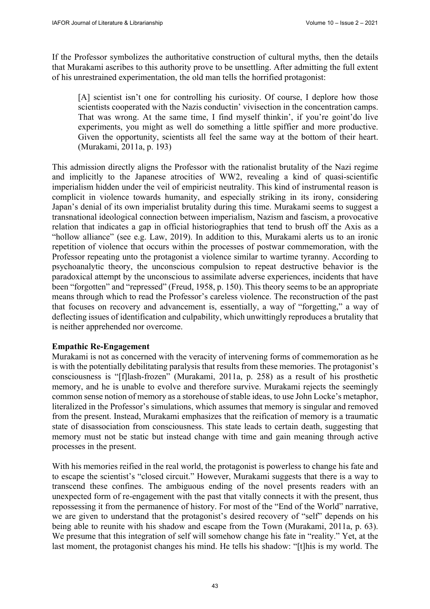If the Professor symbolizes the authoritative construction of cultural myths, then the details that Murakami ascribes to this authority prove to be unsettling. After admitting the full extent of his unrestrained experimentation, the old man tells the horrified protagonist:

[A] scientist isn't one for controlling his curiosity. Of course, I deplore how those scientists cooperated with the Nazis conductin' vivisection in the concentration camps. That was wrong. At the same time, I find myself thinkin', if you're goint'do live experiments, you might as well do something a little spiffier and more productive. Given the opportunity, scientists all feel the same way at the bottom of their heart. (Murakami, 2011a, p. 193)

This admission directly aligns the Professor with the rationalist brutality of the Nazi regime and implicitly to the Japanese atrocities of WW2, revealing a kind of quasi-scientific imperialism hidden under the veil of empiricist neutrality. This kind of instrumental reason is complicit in violence towards humanity, and especially striking in its irony, considering Japan's denial of its own imperialist brutality during this time. Murakami seems to suggest a transnational ideological connection between imperialism, Nazism and fascism, a provocative relation that indicates a gap in official historiographies that tend to brush off the Axis as a "hollow alliance" (see e.g. Law, 2019). In addition to this, Murakami alerts us to an ironic repetition of violence that occurs within the processes of postwar commemoration, with the Professor repeating unto the protagonist a violence similar to wartime tyranny. According to psychoanalytic theory, the unconscious compulsion to repeat destructive behavior is the paradoxical attempt by the unconscious to assimilate adverse experiences, incidents that have been "forgotten" and "repressed" (Freud, 1958, p. 150). This theory seems to be an appropriate means through which to read the Professor's careless violence. The reconstruction of the past that focuses on recovery and advancement is, essentially, a way of "forgetting," a way of deflecting issues of identification and culpability, which unwittingly reproduces a brutality that is neither apprehended nor overcome.

### **Empathic Re-Engagement**

Murakami is not as concerned with the veracity of intervening forms of commemoration as he is with the potentially debilitating paralysis that results from these memories. The protagonist's consciousness is "[f]lash-frozen" (Murakami, 2011a, p. 258) as a result of his prosthetic memory, and he is unable to evolve and therefore survive. Murakami rejects the seemingly common sense notion of memory as a storehouse of stable ideas, to use John Locke's metaphor, literalized in the Professor's simulations, which assumes that memory is singular and removed from the present. Instead, Murakami emphasizes that the reification of memory is a traumatic state of disassociation from consciousness. This state leads to certain death, suggesting that memory must not be static but instead change with time and gain meaning through active processes in the present.

With his memories reified in the real world, the protagonist is powerless to change his fate and to escape the scientist's "closed circuit." However, Murakami suggests that there is a way to transcend these confines. The ambiguous ending of the novel presents readers with an unexpected form of re-engagement with the past that vitally connects it with the present, thus repossessing it from the permanence of history. For most of the "End of the World" narrative, we are given to understand that the protagonist's desired recovery of "self" depends on his being able to reunite with his shadow and escape from the Town (Murakami, 2011a, p. 63). We presume that this integration of self will somehow change his fate in "reality." Yet, at the last moment, the protagonist changes his mind. He tells his shadow: "[t]his is my world. The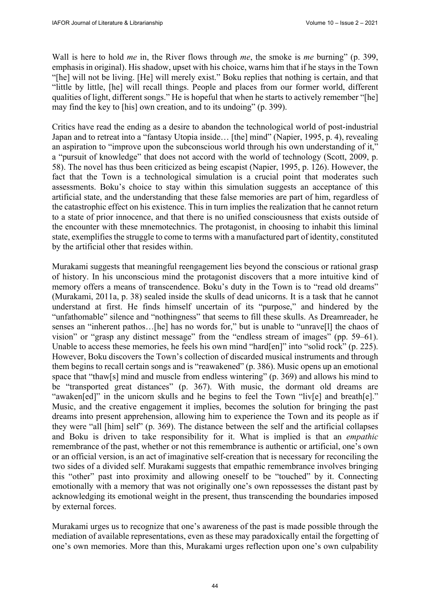Wall is here to hold *me* in, the River flows through *me*, the smoke is *me* burning" (p. 399, emphasis in original). His shadow, upset with his choice, warns him that if he stays in the Town "[he] will not be living. [He] will merely exist." Boku replies that nothing is certain, and that "little by little, [he] will recall things. People and places from our former world, different qualities of light, different songs." He is hopeful that when he starts to actively remember "[he] may find the key to [his] own creation, and to its undoing" (p. 399).

Critics have read the ending as a desire to abandon the technological world of post-industrial Japan and to retreat into a "fantasy Utopia inside... [the] mind" (Napier, 1995, p. 4), revealing an aspiration to "improve upon the subconscious world through his own understanding of it," a "pursuit of knowledge" that does not accord with the world of technology (Scott, 2009, p. 58). The novel has thus been criticized as being escapist (Napier, 1995, p. 126). However, the fact that the Town is a technological simulation is a crucial point that moderates such assessments. Boku's choice to stay within this simulation suggests an acceptance of this artificial state, and the understanding that these false memories are part of him, regardless of the catastrophic effect on his existence. This in turn implies the realization that he cannot return to a state of prior innocence, and that there is no unified consciousness that exists outside of the encounter with these mnemotechnics. The protagonist, in choosing to inhabit this liminal state, exemplifies the struggle to come to terms with a manufactured part of identity, constituted by the artificial other that resides within.

Murakami suggests that meaningful reengagement lies beyond the conscious or rational grasp of history. In his unconscious mind the protagonist discovers that a more intuitive kind of memory offers a means of transcendence. Boku's duty in the Town is to "read old dreams" (Murakami, 2011a, p. 38) sealed inside the skulls of dead unicorns. It is a task that he cannot understand at first. He finds himself uncertain of its "purpose," and hindered by the "unfathomable" silence and "nothingness" that seems to fill these skulls. As Dreamreader, he senses an "inherent pathos…[he] has no words for," but is unable to "unrave[l] the chaos of vision" or "grasp any distinct message" from the "endless stream of images" (pp. 59–61). Unable to access these memories, he feels his own mind "hard[en]" into "solid rock" (p. 225). However, Boku discovers the Town's collection of discarded musical instruments and through them begins to recall certain songs and is "reawakened" (p. 386). Music opens up an emotional space that "thaw[s] mind and muscle from endless wintering" (p. 369) and allows his mind to be "transported great distances" (p. 367). With music, the dormant old dreams are "awaken[ed]" in the unicorn skulls and he begins to feel the Town "liv[e] and breath[e]." Music, and the creative engagement it implies, becomes the solution for bringing the past dreams into present apprehension, allowing him to experience the Town and its people as if they were "all [him] self" (p. 369). The distance between the self and the artificial collapses and Boku is driven to take responsibility for it. What is implied is that an *empathic* remembrance of the past, whether or not this remembrance is authentic or artificial, one's own or an official version, is an act of imaginative self-creation that is necessary for reconciling the two sides of a divided self. Murakami suggests that empathic remembrance involves bringing this "other" past into proximity and allowing oneself to be "touched" by it. Connecting emotionally with a memory that was not originally one's own repossesses the distant past by acknowledging its emotional weight in the present, thus transcending the boundaries imposed by external forces.

Murakami urges us to recognize that one's awareness of the past is made possible through the mediation of available representations, even as these may paradoxically entail the forgetting of one's own memories. More than this, Murakami urges reflection upon one's own culpability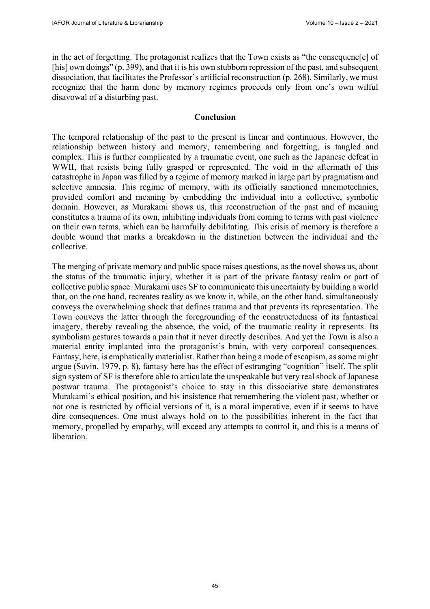in the act of forgetting. The protagonist realizes that the Town exists as "the consequenc[e] of [his] own doings" (p. 399), and that it is his own stubborn repression of the past, and subsequent dissociation, that facilitates the Professor's artificial reconstruction (p. 268). Similarly, we must recognize that the harm done by memory regimes proceeds only from one's own wilful disavowal of a disturbing past.

# **Conclusion**

The temporal relationship of the past to the present is linear and continuous. However, the relationship between history and memory, remembering and forgetting, is tangled and complex. This is further complicated by a traumatic event, one such as the Japanese defeat in WWII, that resists being fully grasped or represented. The void in the aftermath of this catastrophe in Japan was filled by a regime of memory marked in large part by pragmatism and selective amnesia. This regime of memory, with its officially sanctioned mnemotechnics, provided comfort and meaning by embedding the individual into a collective, symbolic domain. However, as Murakami shows us, this reconstruction of the past and of meaning constitutes a trauma of its own, inhibiting individuals from coming to terms with past violence on their own terms, which can be harmfully debilitating. This crisis of memory is therefore a double wound that marks a breakdown in the distinction between the individual and the collective.

The merging of private memory and public space raises questions, as the novel shows us, about the status of the traumatic injury, whether it is part of the private fantasy realm or part of collective public space. Murakami uses SF to communicate this uncertainty by building a world that, on the one hand, recreates reality as we know it, while, on the other hand, simultaneously conveys the overwhelming shock that defines trauma and that prevents its representation. The Town conveys the latter through the foregrounding of the constructedness of its fantastical imagery, thereby revealing the absence, the void, of the traumatic reality it represents. Its symbolism gestures towards a pain that it never directly describes. And yet the Town is also a material entity implanted into the protagonist's brain, with very corporeal consequences. Fantasy, here, is emphatically materialist. Rather than being a mode of escapism, as some might argue (Suvin, 1979, p. 8), fantasy here has the effect of estranging "cognition" itself. The split sign system of SF is therefore able to articulate the unspeakable but very real shock of Japanese postwar trauma. The protagonist's choice to stay in this dissociative state demonstrates Murakami's ethical position, and his insistence that remembering the violent past, whether or not one is restricted by official versions of it, is a moral imperative, even if it seems to have dire consequences. One must always hold on to the possibilities inherent in the fact that memory, propelled by empathy, will exceed any attempts to control it, and this is a means of liberation.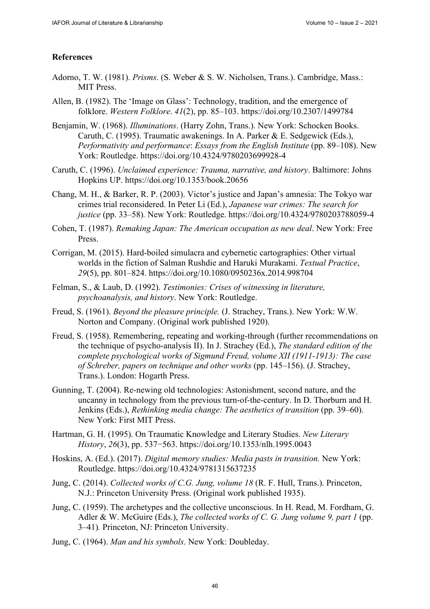## **References**

- Adorno, T. W. (1981). *Prisms*. (S. Weber & S. W. Nicholsen, Trans.). Cambridge, Mass.: MIT Press.
- Allen, B. (1982). The 'Image on Glass': Technology, tradition, and the emergence of folklore. *Western Folklore*. *41*(2), pp. 85–103. <https://doi.org/10.2307/1499784>
- Benjamin, W. (1968). *Illuminations*. (Harry Zohn, Trans.). New York: Schocken Books. Caruth, C. (1995). Traumatic awakenings. In A. Parker & E. Sedgewick (Eds.), *Performativity and performance*: *Essays from the English Institute* (pp. 89–108). New York: Routledge.<https://doi.org/10.4324/9780203699928-4>
- Caruth, C. (1996). *Unclaimed experience: Trauma, narrative, and history*. Baltimore: Johns Hopkins UP.<https://doi.org/10.1353/book.20656>
- Chang, M. H., & Barker, R. P. (2003). Victor's justice and Japan's amnesia: The Tokyo war crimes trial reconsidered. In Peter Li (Ed.), *Japanese war crimes: The search for justice* (pp. 33–58)*.* New York: Routledge.<https://doi.org/10.4324/9780203788059-4>
- Cohen, T. (1987). *Remaking Japan: The American occupation as new deal*. New York: Free Press.
- Corrigan, M. (2015). Hard-boiled simulacra and cybernetic cartographies: Other virtual worlds in the fiction of Salman Rushdie and Haruki Murakami. *Textual Practice*, *29*(5), pp. 801–824. <https://doi.org/10.1080/0950236x.2014.998704>
- Felman, S., & Laub, D. (1992). *Testimonies: Crises of witnessing in literature, psychoanalysis, and history*. New York: Routledge.
- Freud, S. (1961). *Beyond the pleasure principle.* (J. Strachey, Trans.). New York: W.W. Norton and Company. (Original work published 1920).
- Freud, S. (1958). Remembering, repeating and working-through (further recommendations on the technique of psycho-analysis II). In J. Strachey (Ed.), *The standard edition of the complete psychological works of Sigmund Freud, volume XII (1911-1913): The case of Schreber, papers on technique and other works* (pp. 145–156). (J. Strachey, Trans.). London: Hogarth Press.
- Gunning, T. (2004). Re-newing old technologies: Astonishment, second nature, and the uncanny in technology from the previous turn-of-the-century. In D. Thorburn and H. Jenkins (Eds.), *Rethinking media change: The aesthetics of transition* (pp. 39–60). New York: First MIT Press.
- Hartman, G. H. (1995). On Traumatic Knowledge and Literary Studies. *New Literary History*, *26*(3), pp. 537−563. <https://doi.org/10.1353/nlh.1995.0043>
- Hoskins, A. (Ed.). (2017). *Digital memory studies: Media pasts in transition.* New York: Routledge.<https://doi.org/10.4324/9781315637235>
- Jung, C. (2014). *Collected works of C.G. Jung, volume 18* (R. F. Hull, Trans.). Princeton, N.J.: Princeton University Press. (Original work published 1935).
- Jung, C. (1959). The archetypes and the collective unconscious. In H. Read, M. Fordham, G. Adler & W. McGuire (Eds.), *The collected works of C. G. Jung volume 9, part 1* (pp. 3–41)*.* Princeton, NJ: Princeton University.
- Jung, C. (1964). *Man and his symbols*. New York: Doubleday.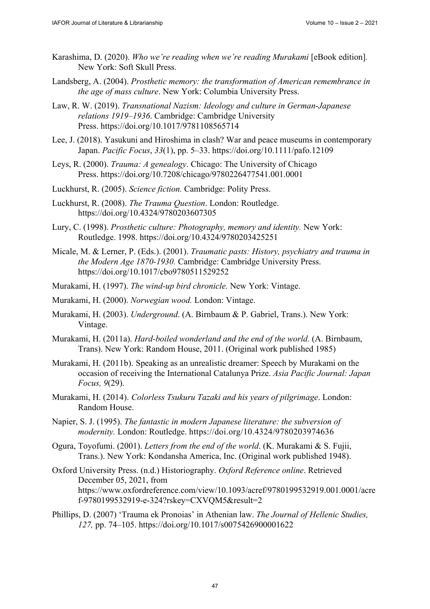- Karashima, D. (2020). *Who we're reading when we're reading Murakami* [eBook edition]. New York: Soft Skull Press.
- Landsberg, A. (2004). *Prosthetic memory: the transformation of American remembrance in the age of mass culture*. New York: Columbia University Press.
- Law, R. W. (2019). *Transnational Nazism: Ideology and culture in German-Japanese relations 1919–1936*. Cambridge: Cambridge University Press.<https://doi.org/10.1017/9781108565714>
- Lee, J. (2018). Yasukuni and Hiroshima in clash? War and peace museums in contemporary Japan. *Pacific Focus*, *33*(1), pp. 5–33. <https://doi.org/10.1111/pafo.12109>
- Leys, R. (2000). *Trauma: A genealogy*. Chicago: The University of Chicago Press.<https://doi.org/10.7208/chicago/9780226477541.001.0001>
- Luckhurst, R. (2005). *Science fiction.* Cambridge: Polity Press.
- Luckhurst, R. (2008). *The Trauma Question*. London: Routledge. <https://doi.org/10.4324/9780203607305>
- Lury, C. (1998). *Prosthetic culture: Photography, memory and identity.* New York: Routledge. 1998.<https://doi.org/10.4324/9780203425251>
- Micale, M. & Lerner, P. (Eds.). (2001). *Traumatic pasts: History, psychiatry and trauma in the Modern Age 1870-1930.* Cambridge: Cambridge University Press. <https://doi.org/10.1017/cbo9780511529252>
- Murakami, H. (1997). *The wind-up bird chronicle.* New York: Vintage.
- Murakami, H. (2000). *Norwegian wood.* London: Vintage.
- Murakami, H. (2003). *Underground*. (A. Birnbaum & P. Gabriel, Trans.). New York: Vintage.
- Murakami, H. (2011a). *Hard-boiled wonderland and the end of the world.* (A. Birnbaum, Trans). New York: Random House, 2011. (Original work published 1985)
- Murakami, H. (2011b). Speaking as an unrealistic dreamer: Speech by Murakami on the occasion of receiving the International Catalunya Prize. *Asia Pacific Journal: Japan Focus, 9*(29).
- Murakami, H. (2014). *Colorless Tsukuru Tazaki and his years of pilgrimage*. London: Random House.
- Napier, S. J. (1995). *The fantastic in modern Japanese literature: the subversion of modernity.* London: Routledge. <https://doi.org/10.4324/9780203974636>
- Ogura, Toyofumi. (2001). *Letters from the end of the world*. (K. Murakami & S. Fujii, Trans.). New York: Kondansha America, Inc. (Original work published 1948).
- Oxford University Press. (n.d.) Historiography. *Oxford Reference online*. Retrieved December 05, 2021, from <https://www.oxfordreference.com/view/10.1093/acref/9780199532919.001.0001/acre> f-9780199532919-e-324?rskey=CXVQM5&result=2
- Phillips, D. (2007) 'Trauma ek Pronoias' in Athenian law. *The Journal of Hellenic Studies, 127,* pp. 74–105. <https://doi.org/10.1017/s0075426900001622>